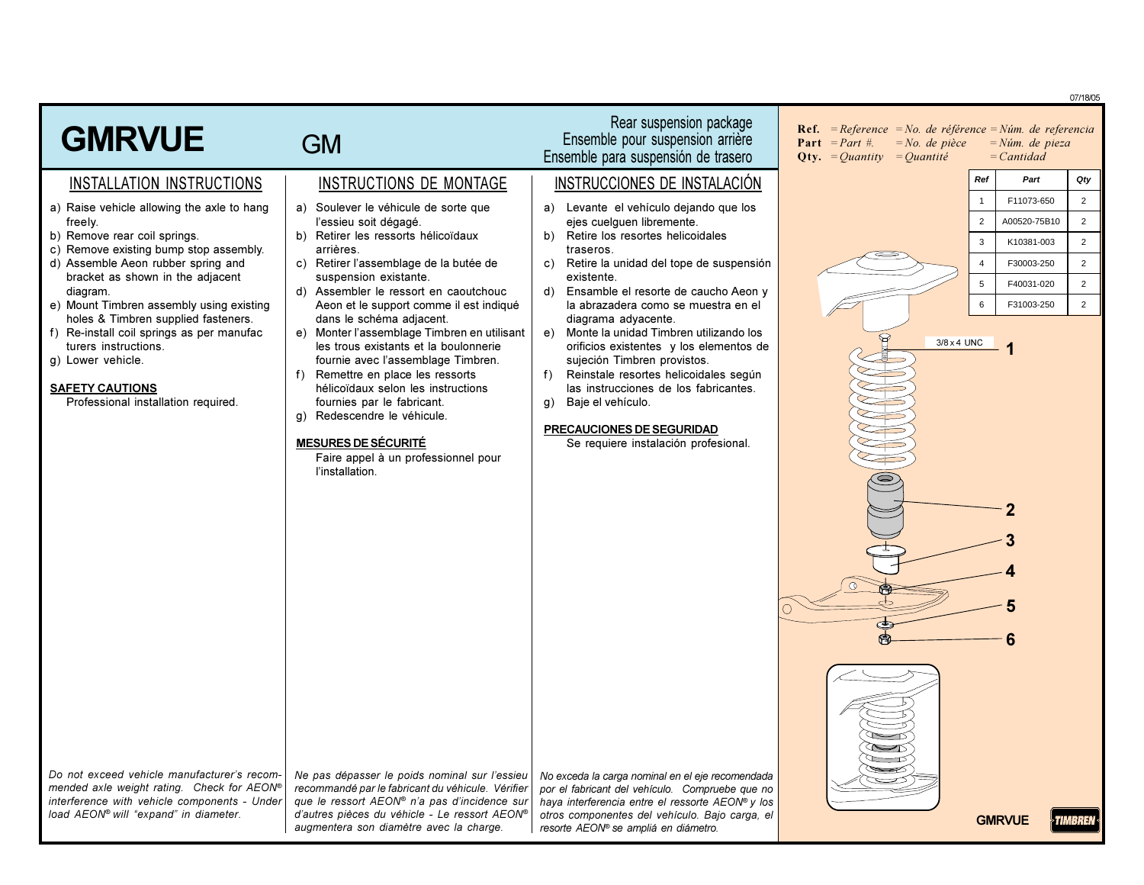|                                                                                                                                                                                    |                                                                                                                                                                                                                                                                                                                                                            |                                                                                                                                                                                                                                                                                                                       |                                                                                                                                                     |                                          | 07/18/05       |
|------------------------------------------------------------------------------------------------------------------------------------------------------------------------------------|------------------------------------------------------------------------------------------------------------------------------------------------------------------------------------------------------------------------------------------------------------------------------------------------------------------------------------------------------------|-----------------------------------------------------------------------------------------------------------------------------------------------------------------------------------------------------------------------------------------------------------------------------------------------------------------------|-----------------------------------------------------------------------------------------------------------------------------------------------------|------------------------------------------|----------------|
| <b>GMRVUE</b>                                                                                                                                                                      | <b>GM</b>                                                                                                                                                                                                                                                                                                                                                  | Rear suspension package<br>Ensemble pour suspension arrière<br>Ensemble para suspensión de trasero                                                                                                                                                                                                                    | <b>Ref.</b> = Reference = No. de référence = Núm. de referencia<br><b>Part</b> = <i>Part</i> #.<br>$=No$ . de pièce<br>$Qty. = Quantity = Quantity$ | $=N$ úm. de pieza<br>$=$ <i>Cantidad</i> |                |
| INSTALLATION INSTRUCTIONS                                                                                                                                                          | INSTRUCTIONS DE MONTAGE                                                                                                                                                                                                                                                                                                                                    | INSTRUCCIONES DE INSTALACIÓN                                                                                                                                                                                                                                                                                          | Ref                                                                                                                                                 | Part                                     | Qty            |
| a) Raise vehicle allowing the axle to hang                                                                                                                                         | a) Soulever le véhicule de sorte que                                                                                                                                                                                                                                                                                                                       | a) Levante el vehículo dejando que los                                                                                                                                                                                                                                                                                | $\overline{1}$                                                                                                                                      | F11073-650                               | $\overline{2}$ |
| freely.<br>b) Remove rear coil springs.                                                                                                                                            | l'essieu soit dégagé.<br>b) Retirer les ressorts hélicoïdaux                                                                                                                                                                                                                                                                                               | ejes cuelguen libremente.<br>Retire los resortes helicoidales<br>b)                                                                                                                                                                                                                                                   | $\overline{2}$                                                                                                                                      | A00520-75B10                             | $\overline{2}$ |
| c) Remove existing bump stop assembly.                                                                                                                                             | arrières.                                                                                                                                                                                                                                                                                                                                                  | traseros.                                                                                                                                                                                                                                                                                                             | $\mathbf{3}$                                                                                                                                        | K10381-003                               | $\overline{2}$ |
| d) Assemble Aeon rubber spring and<br>bracket as shown in the adjacent                                                                                                             | c) Retirer l'assemblage de la butée de<br>suspension existante.                                                                                                                                                                                                                                                                                            | Retire la unidad del tope de suspensión<br>C)<br>existente.                                                                                                                                                                                                                                                           | $\overline{4}$                                                                                                                                      | F30003-250                               | $\overline{2}$ |
| diagram.                                                                                                                                                                           | d) Assembler le ressort en caoutchouc                                                                                                                                                                                                                                                                                                                      | Ensamble el resorte de caucho Aeon y<br>d)                                                                                                                                                                                                                                                                            | 5                                                                                                                                                   | F40031-020                               | $\overline{2}$ |
| e) Mount Timbren assembly using existing<br>holes & Timbren supplied fasteners.                                                                                                    | Aeon et le support comme il est indiqué<br>dans le schéma adjacent.                                                                                                                                                                                                                                                                                        | la abrazadera como se muestra en el<br>diagrama adyacente.                                                                                                                                                                                                                                                            | $6\phantom{1}$                                                                                                                                      | F31003-250                               | $\overline{2}$ |
| f) Re-install coil springs as per manufac<br>turers instructions.<br>g) Lower vehicle.<br><b>SAFETY CAUTIONS</b><br>Professional installation required.                            | e) Monter l'assemblage Timbren en utilisant<br>les trous existants et la boulonnerie<br>fournie avec l'assemblage Timbren.<br>f) Remettre en place les ressorts<br>hélicoïdaux selon les instructions<br>fournies par le fabricant.<br>g) Redescendre le véhicule.<br><b>MESURES DE SÉCURITÉ</b><br>Faire appel à un professionnel pour<br>l'installation. | Monte la unidad Timbren utilizando los<br>e)<br>orificios existentes y los elementos de<br>sujeción Timbren provistos.<br>Reinstale resortes helicoidales según<br>f)<br>las instrucciones de los fabricantes.<br>Baje el vehículo.<br>q)<br><b>PRECAUCIONES DE SEGURIDAD</b><br>Se requiere instalación profesional. | 3/8 x 4 UNC                                                                                                                                         |                                          |                |
| Do not exceed vehicle manufacturer's recom-<br>mended axle weight rating. Check for AEON®<br>interference with vehicle components - Under<br>load AEON® will "expand" in diameter. | Ne pas dépasser le poids nominal sur l'essieu<br>recommandé par le fabricant du véhicule. Vérifier<br>que le ressort AEON® n'a pas d'incidence sur<br>d'autres pièces du véhicle - Le ressort AEON®<br>augmentera son diamètre avec la charge.                                                                                                             | No exceda la carga nominal en el eje recomendada<br>por el fabricant del vehículo. Compruebe que no<br>haya interferencia entre el ressorte AEON® y los<br>otros componentes del vehículo. Bajo carga, el<br>resorte AEON® se ampliá en diámetro.                                                                     |                                                                                                                                                     | <b>GMRVUE</b>                            | TIMBREN        |

TIMBREN